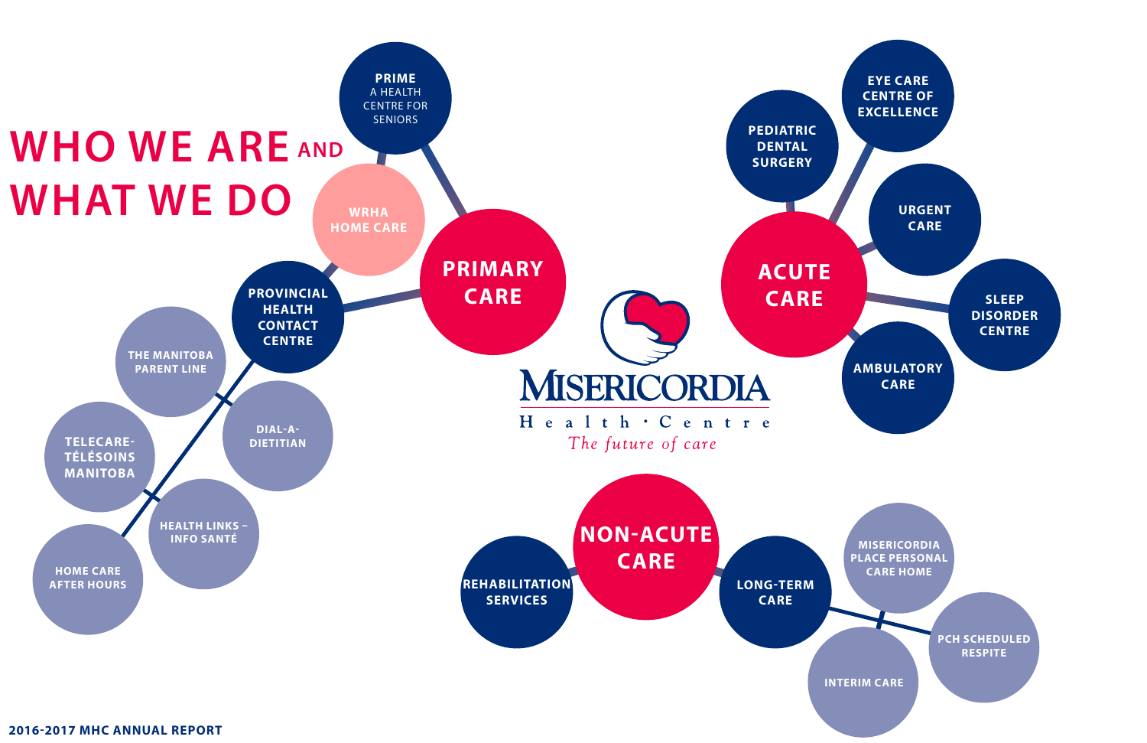**AMBULATORY CARE**

**SLEEP DISORDER CENTRE**

**EYE CARE CENTRE OF EXCELLENCE**

> **URGENT CARE**

**MISERICORDIA PLACE PERSONAL CARE HOME**

> **PCH SCHEDULED RESPITE**



**INTERIM CARE**